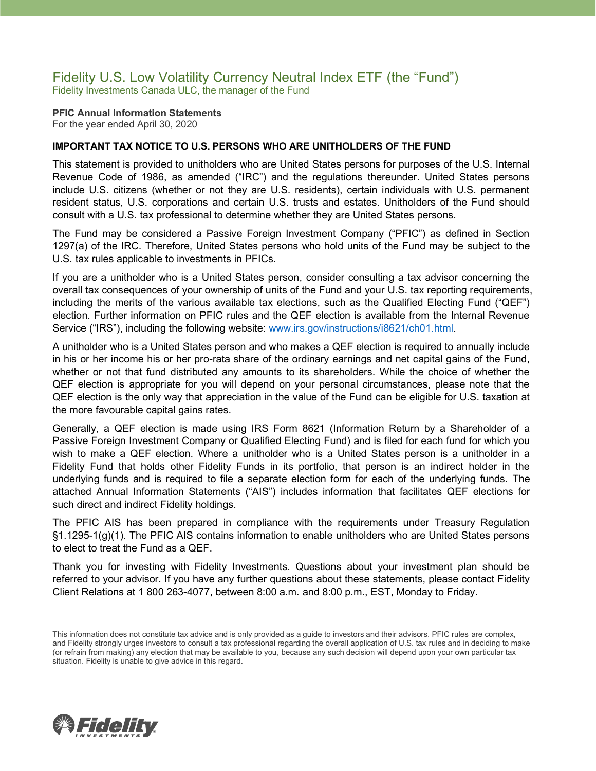## Fidelity U.S. Low Volatility Currency Neutral Index ETF (the "Fund") Fidelity Investments Canada ULC, the manager of the Fund

#### **PFIC Annual Information Statements** For the year ended April 30, 2020

### **IMPORTANT TAX NOTICE TO U.S. PERSONS WHO ARE UNITHOLDERS OF THE FUND**

This statement is provided to unitholders who are United States persons for purposes of the U.S. Internal Revenue Code of 1986, as amended ("IRC") and the regulations thereunder. United States persons include U.S. citizens (whether or not they are U.S. residents), certain individuals with U.S. permanent resident status, U.S. corporations and certain U.S. trusts and estates. Unitholders of the Fund should consult with a U.S. tax professional to determine whether they are United States persons.

The Fund may be considered a Passive Foreign Investment Company ("PFIC") as defined in Section 1297(a) of the IRC. Therefore, United States persons who hold units of the Fund may be subject to the U.S. tax rules applicable to investments in PFICs.

If you are a unitholder who is a United States person, consider consulting a tax advisor concerning the overall tax consequences of your ownership of units of the Fund and your U.S. tax reporting requirements, including the merits of the various available tax elections, such as the Qualified Electing Fund ("QEF") election. Further information on PFIC rules and the QEF election is available from the Internal Revenue Service ("IRS"), including the following website: [www.irs.gov/instructions/i8621/ch01.html.](http://www.irs.gov/instructions/i8621/ch01.html)

A unitholder who is a United States person and who makes a QEF election is required to annually include in his or her income his or her pro-rata share of the ordinary earnings and net capital gains of the Fund, whether or not that fund distributed any amounts to its shareholders. While the choice of whether the QEF election is appropriate for you will depend on your personal circumstances, please note that the QEF election is the only way that appreciation in the value of the Fund can be eligible for U.S. taxation at the more favourable capital gains rates.

Generally, a QEF election is made using IRS Form 8621 (Information Return by a Shareholder of a Passive Foreign Investment Company or Qualified Electing Fund) and is filed for each fund for which you wish to make a QEF election. Where a unitholder who is a United States person is a unitholder in a Fidelity Fund that holds other Fidelity Funds in its portfolio, that person is an indirect holder in the underlying funds and is required to file a separate election form for each of the underlying funds. The attached Annual Information Statements ("AIS") includes information that facilitates QEF elections for such direct and indirect Fidelity holdings.

The PFIC AIS has been prepared in compliance with the requirements under Treasury Regulation §1.1295-1(g)(1). The PFIC AIS contains information to enable unitholders who are United States persons to elect to treat the Fund as a QEF.

Thank you for investing with Fidelity Investments. Questions about your investment plan should be referred to your advisor. If you have any further questions about these statements, please contact Fidelity Client Relations at 1 800 263-4077, between 8:00 a.m. and 8:00 p.m., EST, Monday to Friday.



This information does not constitute tax advice and is only provided as a guide to investors and their advisors. PFIC rules are complex, and Fidelity strongly urges investors to consult a tax professional regarding the overall application of U.S. tax rules and in deciding to make (or refrain from making) any election that may be available to you, because any such decision will depend upon your own particular tax situation. Fidelity is unable to give advice in this regard.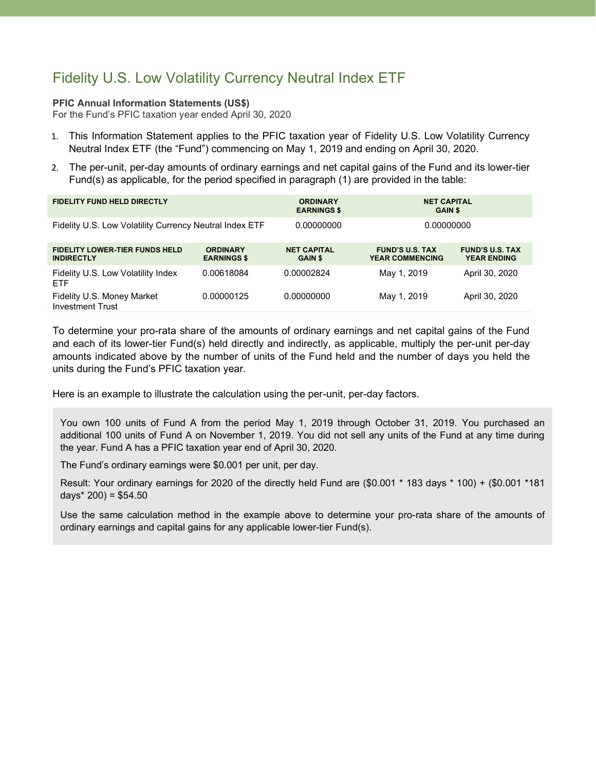# Fidelity U.S. Low Volatility Currency Neutral Index ETF

### **PFIC Annual Information Statements (US\$)**

For the Fund's PFIC taxation year ended April 30, 2020

- 1. This Information Statement applies to the PFIC taxation year of Fidelity U.S. Low Volatility Currency Neutral Index ETF (the "Fund") commencing on May 1, 2019 and ending on April 30, 2020.
- 2. The per-unit, per-day amounts of ordinary earnings and net capital gains of the Fund and its lower-tier Fund(s) as applicable, for the period specified in paragraph (1) are provided in the table:

| <b>FIDELITY FUND HELD DIRECTLY</b>                         |                                       | <b>ORDINARY</b><br><b>EARNINGS \$</b> | <b>NET CAPITAL</b><br><b>GAIN \$</b>             |                                              |
|------------------------------------------------------------|---------------------------------------|---------------------------------------|--------------------------------------------------|----------------------------------------------|
| Fidelity U.S. Low Volatility Currency Neutral Index ETF    |                                       | 0.00000000                            | 0.00000000                                       |                                              |
| <b>FIDELITY LOWER-TIER FUNDS HELD</b><br><b>INDIRECTLY</b> | <b>ORDINARY</b><br><b>EARNINGS \$</b> | <b>NET CAPITAL</b><br><b>GAIN \$</b>  | <b>FUND'S U.S. TAX</b><br><b>YEAR COMMENCING</b> | <b>FUND'S U.S. TAX</b><br><b>YEAR ENDING</b> |
| Fidelity U.S. Low Volatility Index<br><b>ETF</b>           | 0.00618084                            | 0.00002824                            | May 1, 2019                                      | April 30, 2020                               |
| Fidelity U.S. Money Market<br><b>Investment Trust</b>      | 0.00000125                            | 0.00000000                            | May 1, 2019                                      | April 30, 2020                               |

To determine your pro-rata share of the amounts of ordinary earnings and net capital gains of the Fund and each of its lower-tier Fund(s) held directly and indirectly, as applicable, multiply the per-unit per-day amounts indicated above by the number of units of the Fund held and the number of days you held the units during the Fund's PFIC taxation year.

Here is an example to illustrate the calculation using the per-unit, per-day factors.

You own 100 units of Fund A from the period May 1, 2019 through October 31, 2019. You purchased an additional 100 units of Fund A on November 1, 2019. You did not sell any units of the Fund at any time during the year. Fund A has a PFIC taxation year end of April 30, 2020.

The Fund's ordinary earnings were \$0.001 per unit, per day.

Result: Your ordinary earnings for 2020 of the directly held Fund are (\$0.001 \* 183 days \* 100) + (\$0.001 \*181 days $*$  200) = \$54.50

Use the same calculation method in the example above to determine your pro-rata share of the amounts of ordinary earnings and capital gains for any applicable lower-tier Fund(s).